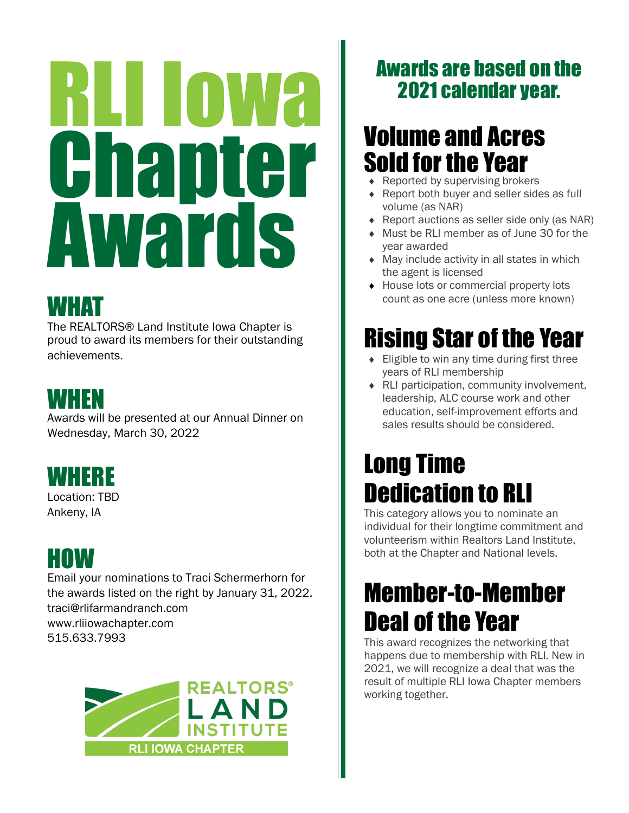# RLI Iowa **Chapter** Awards

#### WHAT

The REALTORS® Land Institute Iowa Chapter is proud to award its members for their outstanding achievements.

#### WHEN

Awards will be presented at our Annual Dinner on Wednesday, March 30, 2022



Location: TBD Ankeny, IA

## HOW

Email your nominations to Traci Schermerhorn for the awards listed on the right by January 31, 2022. traci@rlifarmandranch.com www.rliiowachapter.com 515.633.7993



#### Awards are based on the 2021 calendar year.

#### Volume and Acres Sold for the Year

- $\triangle$  Reported by supervising brokers
- ◆ Report both buyer and seller sides as full volume (as NAR)
- $\triangleleft$  Report auctions as seller side only (as NAR)
- ◆ Must be RLI member as of June 30 for the year awarded
- $\bullet$  May include activity in all states in which the agent is licensed
- ◆ House lots or commercial property lots count as one acre (unless more known)

## Rising Star of the Year

- $\bullet$  Eligible to win any time during first three years of RLI membership
- $\bullet$  RLI participation, community involvement, leadership, ALC course work and other education, self-improvement efforts and sales results should be considered.

## Long Time Dedication to RLI

This category allows you to nominate an individual for their longtime commitment and volunteerism within Realtors Land Institute, both at the Chapter and National levels.

## Member-to-Member Deal of the Year

This award recognizes the networking that happens due to membership with RLI. New in 2021, we will recognize a deal that was the result of multiple RLI Iowa Chapter members working together.